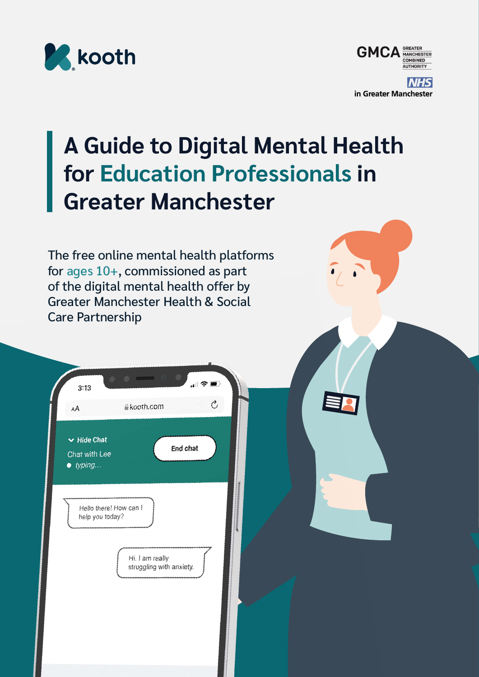



# **A Guide to Digital Mental Health for Education Professionals in Greater Manchester**

The free online mental health platforms for ages 10+, commissioned as part of the digital mental health offer by Greater Manchester Health & Social Care Partnership

| 3:13                                                  | <b>CONSUMING CO.</b><br>$\blacksquare$<br>$\epsilon$ $\epsilon$ |
|-------------------------------------------------------|-----------------------------------------------------------------|
| AA                                                    | C,<br><b>Akooth.com</b>                                         |
| $\vee$ Hide Chat<br>Chat with Lee<br>$\bullet$ typing | <b>End chat</b>                                                 |
| Hello there! How can I<br>help you today?             |                                                                 |
|                                                       | Hi. I am really<br>struggling with anxiety.                     |
|                                                       |                                                                 |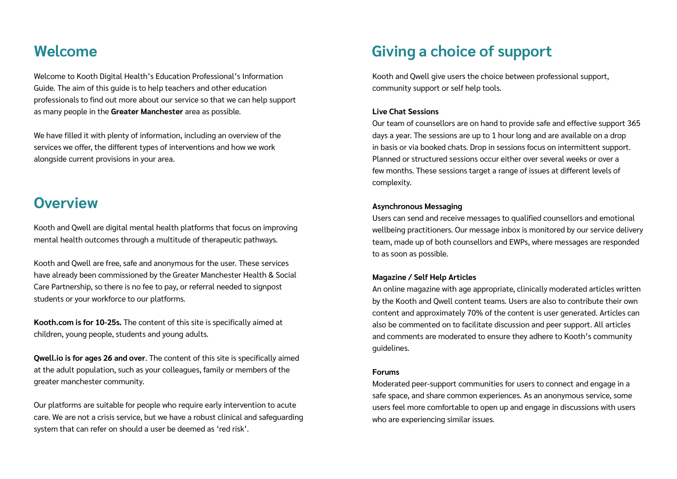### **Welcome**

Welcome to Kooth Digital Health's Education Professional's Information Guide. The aim of this guide is to help teachers and other education professionals to find out more about our service so that we can help support as many people in the **Greater Manchester** area as possible.

We have filled it with plenty of information, including an overview of the services we offer, the different types of interventions and how we work alongside current provisions in your area.

### **Overview**

Kooth and Qwell are digital mental health platforms that focus on improving mental health outcomes through a multitude of therapeutic pathways.

Kooth and Qwell are free, safe and anonymous for the user. These services have already been commissioned by the Greater Manchester Health & Social Care Partnership, so there is no fee to pay, or referral needed to signpost students or your workforce to our platforms.

**Kooth.com is for 10-25s.** The content of this site is specifically aimed at children, young people, students and young adults.

**Qwell.io is for ages 26 and over**. The content of this site is specifically aimed at the adult population, such as your colleagues, family or members of the greater manchester community.

Our platforms are suitable for people who require early intervention to acute care. We are not a crisis service, but we have a robust clinical and safeguarding system that can refer on should a user be deemed as 'red risk'.

### **Giving a choice of support**

Kooth and Qwell give users the choice between professional support, community support or self help tools.

#### **Live Chat Sessions**

Our team of counsellors are on hand to provide safe and effective support 365 days a year. The sessions are up to 1 hour long and are available on a drop in basis or via booked chats. Drop in sessions focus on intermittent support. Planned or structured sessions occur either over several weeks or over a few months. These sessions target a range of issues at different levels of complexity.

#### **Asynchronous Messaging**

Users can send and receive messages to qualified counsellors and emotional wellbeing practitioners. Our message inbox is monitored by our service delivery team, made up of both counsellors and EWPs, where messages are responded to as soon as possible.

#### **Magazine / Self Help Articles**

An online magazine with age appropriate, clinically moderated articles written by the Kooth and Qwell content teams. Users are also to contribute their own content and approximately 70% of the content is user generated. Articles can also be commented on to facilitate discussion and peer support. All articles and comments are moderated to ensure they adhere to Kooth's community guidelines.

#### **Forums**

Moderated peer-support communities for users to connect and engage in a safe space, and share common experiences. As an anonymous service, some users feel more comfortable to open up and engage in discussions with users who are experiencing similar issues.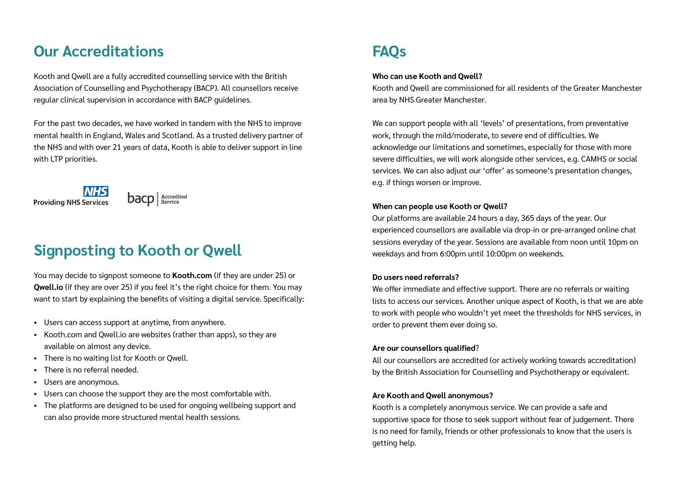### **Our Accreditations**

Kooth and Qwell are a fully accredited counselling service with the British Association of Counselling and Psychotherapy (BACP). All counsellors receive regular clinical supervision in accordance with BACP guidelines.

For the past two decades, we have worked in tandem with the NHS to improve mental health in England, Wales and Scotland. As a trusted delivery partner of the NHS and with over 21 years of data, Kooth is able to deliver support in line with LTP priorities.





# **FAQs**

#### **Who can use Kooth and Qwell?**

Kooth and Qwell are commissioned for all residents of the Greater Manchester area by NHS Greater Manchester.

We can support people with all 'levels' of presentations, from preventative work, through the mild/moderate, to severe end of difficulties. We acknowledge our limitations and sometimes, especially for those with more severe difficulties, we will work alongside other services, e.g. CAMHS or social services. We can also adjust our 'offer' as someone's presentation changes, e.g. if things worsen or improve.

#### **When can people use Kooth or Qwell?**

Our platforms are available 24 hours a day, 365 days of the year. Our experienced counsellors are available via drop-in or pre-arranged online chat sessions everyday of the year. Sessions are available from noon until 10pm on weekdays and from 6:00pm until 10:00pm on weekends.

#### **Do users need referrals?**

We offer immediate and effective support. There are no referrals or waiting lists to access our services. Another unique aspect of Kooth, is that we are able to work with people who wouldn't yet meet the thresholds for NHS services, in order to prevent them ever doing so.

#### **Are our counsellors qualified**?

All our counsellors are accredited (or actively working towards accreditation) by the British Association for Counselling and Psychotherapy or equivalent.

### **Are Kooth and Qwell anonymous?**

Kooth is a completely anonymous service. We can provide a safe and supportive space for those to seek support without fear of judgement. There is no need for family, friends or other professionals to know that the users is getting help.

# **Signposting to Kooth or Qwell**

You may decide to signpost someone to **Kooth.com** (if they are under 25) or **Qwell.io** (if they are over 25) if you feel it's the right choice for them. You may want to start by explaining the benefits of visiting a digital service. Specifically:

- Users can access support at anytime, from anywhere.
- Kooth.com and Qwell.io are websites (rather than apps), so they are available on almost any device.
- There is no waiting list for Kooth or Qwell.
- There is no referral needed.
- Users are anonymous.
- Users can choose the support they are the most comfortable with.
- The platforms are designed to be used for ongoing wellbeing support and can also provide more structured mental health sessions.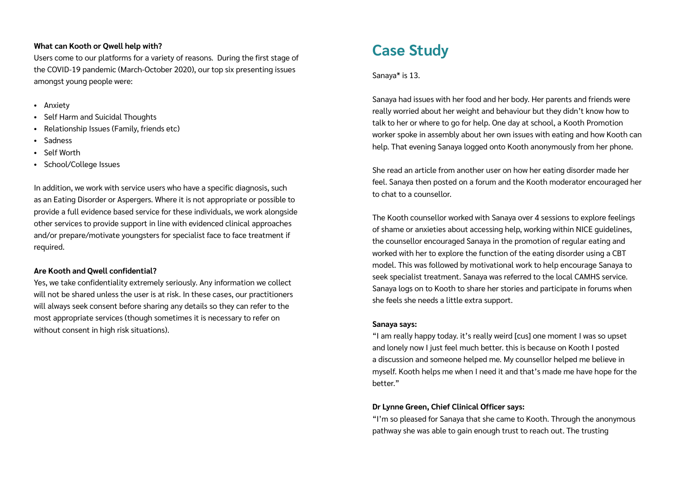#### **What can Kooth or Qwell help with?**

Users come to our platforms for a variety of reasons. During the first stage of the COVID-19 pandemic (March-October 2020), our top six presenting issues amongst young people were:

- Anxiety
- Self Harm and Suicidal Thoughts
- Relationship Issues (Family, friends etc)
- **Sadness**
- Self Worth
- School/College Issues

In addition, we work with service users who have a specific diagnosis, such as an Eating Disorder or Aspergers. Where it is not appropriate or possible to provide a full evidence based service for these individuals, we work alongside other services to provide support in line with evidenced clinical approaches and/or prepare/motivate youngsters for specialist face to face treatment if required.

#### **Are Kooth and Qwell confidential?**

Yes, we take confidentiality extremely seriously. Any information we collect will not be shared unless the user is at risk. In these cases, our practitioners will always seek consent before sharing any details so they can refer to the most appropriate services (though sometimes it is necessary to refer on without consent in high risk situations).

Sanaya\* is 13.

Sanaya had issues with her food and her body. Her parents and friends were really worried about her weight and behaviour but they didn't know how to talk to her or where to go for help. One day at school, a Kooth Promotion worker spoke in assembly about her own issues with eating and how Kooth can help. That evening Sanaya logged onto Kooth anonymously from her phone.

She read an article from another user on how her eating disorder made her feel. Sanaya then posted on a forum and the Kooth moderator encouraged her to chat to a counsellor.

The Kooth counsellor worked with Sanaya over 4 sessions to explore feelings of shame or anxieties about accessing help, working within NICE guidelines, the counsellor encouraged Sanaya in the promotion of regular eating and worked with her to explore the function of the eating disorder using a CBT model. This was followed by motivational work to help encourage Sanaya to seek specialist treatment. Sanaya was referred to the local CAMHS service. Sanaya logs on to Kooth to share her stories and participate in forums when she feels she needs a little extra support.

#### **Sanaya says:**

"I am really happy today. it's really weird [cus] one moment I was so upset and lonely now I just feel much better. this is because on Kooth I posted a discussion and someone helped me. My counsellor helped me believe in myself. Kooth helps me when I need it and that's made me have hope for the better."

### **Dr Lynne Green, Chief Clinical Officer says:**

"I'm so pleased for Sanaya that she came to Kooth. Through the anonymous pathway she was able to gain enough trust to reach out. The trusting

# **Case Study**